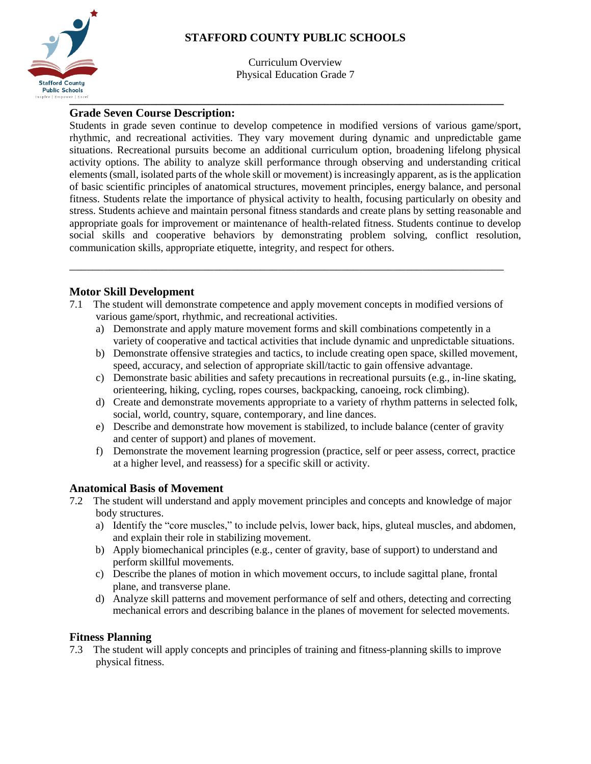

# **STAFFORD COUNTY PUBLIC SCHOOLS**

Curriculum Overview Physical Education Grade 7

### **Grade Seven Course Description:**

Students in grade seven continue to develop competence in modified versions of various game/sport, rhythmic, and recreational activities. They vary movement during dynamic and unpredictable game situations. Recreational pursuits become an additional curriculum option, broadening lifelong physical activity options. The ability to analyze skill performance through observing and understanding critical elements (small, isolated parts of the whole skill or movement) is increasingly apparent, as is the application of basic scientific principles of anatomical structures, movement principles, energy balance, and personal fitness. Students relate the importance of physical activity to health, focusing particularly on obesity and stress. Students achieve and maintain personal fitness standards and create plans by setting reasonable and appropriate goals for improvement or maintenance of health-related fitness. Students continue to develop social skills and cooperative behaviors by demonstrating problem solving, conflict resolution, communication skills, appropriate etiquette, integrity, and respect for others.

## **Motor Skill Development**

7.1 The student will demonstrate competence and apply movement concepts in modified versions of various game/sport, rhythmic, and recreational activities.

\_\_\_\_\_\_\_\_\_\_\_\_\_\_\_\_\_\_\_\_\_\_\_\_\_\_\_\_\_\_\_\_\_\_\_\_\_\_\_\_\_\_\_\_\_\_\_\_\_\_\_\_\_\_\_\_\_\_\_\_\_\_\_\_\_\_\_\_\_\_\_\_\_\_\_

- a) Demonstrate and apply mature movement forms and skill combinations competently in a variety of cooperative and tactical activities that include dynamic and unpredictable situations.
- b) Demonstrate offensive strategies and tactics, to include creating open space, skilled movement, speed, accuracy, and selection of appropriate skill/tactic to gain offensive advantage.
- c) Demonstrate basic abilities and safety precautions in recreational pursuits (e.g., in-line skating, orienteering, hiking, cycling, ropes courses, backpacking, canoeing, rock climbing).
- d) Create and demonstrate movements appropriate to a variety of rhythm patterns in selected folk, social, world, country, square, contemporary, and line dances.
- e) Describe and demonstrate how movement is stabilized, to include balance (center of gravity and center of support) and planes of movement.
- f) Demonstrate the movement learning progression (practice, self or peer assess, correct, practice at a higher level, and reassess) for a specific skill or activity.

## **Anatomical Basis of Movement**

- 7.2 The student will understand and apply movement principles and concepts and knowledge of major body structures.
	- a) Identify the "core muscles," to include pelvis, lower back, hips, gluteal muscles, and abdomen, and explain their role in stabilizing movement.
	- b) Apply biomechanical principles (e.g., center of gravity, base of support) to understand and perform skillful movements.
	- c) Describe the planes of motion in which movement occurs, to include sagittal plane, frontal plane, and transverse plane.
	- d) Analyze skill patterns and movement performance of self and others, detecting and correcting mechanical errors and describing balance in the planes of movement for selected movements.

## **Fitness Planning**

7.3 The student will apply concepts and principles of training and fitness-planning skills to improve physical fitness.